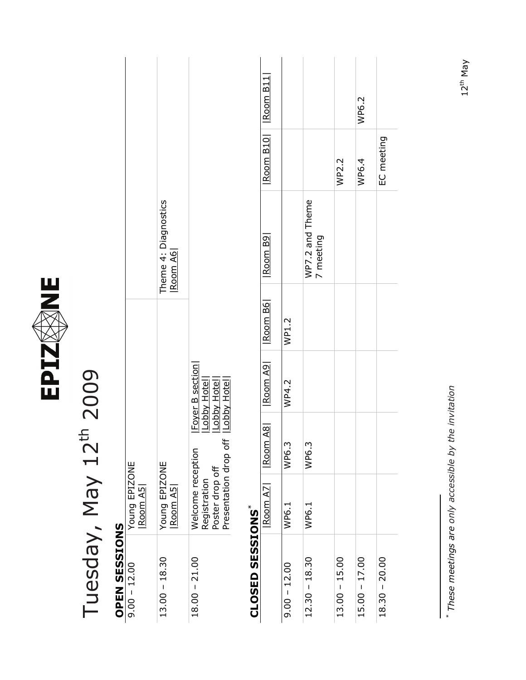

## Tuesday, May 12th 2009 Tuesday, May 12th 2009

## **OPEN SESSIONS**<br> $\frac{9.00 - 12.00}{9.00 - 12.00}$ **OPEN SESSIONS**

| $9.00 - 12.00$  | Young EPIZONE<br><u>Room A5 </u>                                                                                                                     |                                |
|-----------------|------------------------------------------------------------------------------------------------------------------------------------------------------|--------------------------------|
| $13.00 - 18.30$ | Young EPIZONE<br>Room A5                                                                                                                             | heme 4: Diagnostics<br>Room A6 |
| $18.00 - 21.00$ | Eover B section <br> Lobby Hote  <br> Lobby Hote  <br> Lobby Hote  <br>Presentation drop off<br>Velcome reception<br>Poster drop off<br>Registration |                                |

#### C CELO CECTONC\* **CLOSED SESSIONS**[\\*](#page-0-0)

<span id="page-0-0"></span>

| CTACIES AISCIS  |                |       |       |                                     |                              |                              |       |
|-----------------|----------------|-------|-------|-------------------------------------|------------------------------|------------------------------|-------|
|                 | Room AZ   Room |       |       | A8    Room A9    Room B6    Room B9 |                              | <u> Room B10   Room B11 </u> |       |
| $9.00 - 12.00$  | WP6.1          | WP6.3 | WP4.2 | WP1.2                               |                              |                              |       |
| $12.30 - 18.30$ | WP6.1          | WP6.3 |       |                                     | WP7.2 and Theme<br>7 meeting |                              |       |
| $13.00 - 15.00$ |                |       |       |                                     |                              | WP2.2                        |       |
| $15.00 - 17.00$ |                |       |       |                                     |                              | WP6.4                        | WP6.2 |
| $18.30 - 20.00$ |                |       |       |                                     |                              | EC meeting                   |       |

\* These meetings are only accessible by the invitation *These meetings are only accessible by the invitation*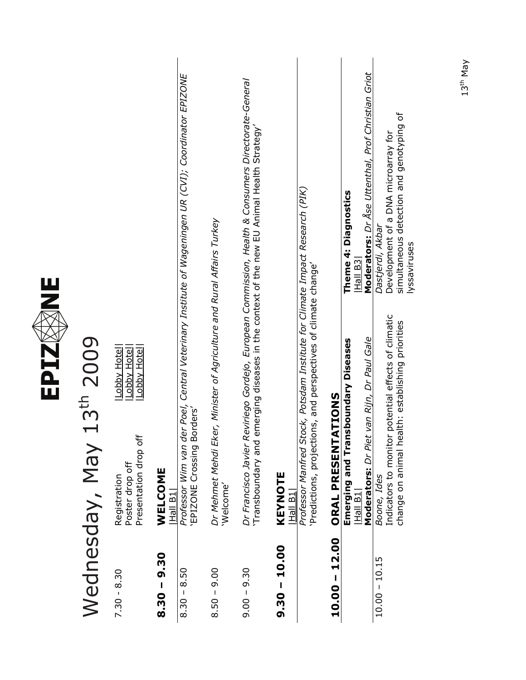|                 | 13th 2009<br>Wednesday, May                                                                                                                                                                                                                   |  |
|-----------------|-----------------------------------------------------------------------------------------------------------------------------------------------------------------------------------------------------------------------------------------------|--|
| $7.30 - 8.30$   | Lobby Hotel<br>Lobby Hotel<br>Lobby Hotel<br>Presentation drop off<br>Poster drop off<br>Registration                                                                                                                                         |  |
| $8.30 - 9.30$   | WELCOME<br><b>Hall B1</b>                                                                                                                                                                                                                     |  |
| $8.30 - 8.50$   | der Poel, Central Veterinary Institute of Wageningen UR (CVI); Coordinator EPIZONE<br>Borders'<br>Professor Wim van<br>EPIZONE Crossing                                                                                                       |  |
| $8.50 - 9.00$   | Dr Mehmet Mehdi Eker, Minister of Agriculture and Rural Affairs Turkey<br>'Welcome'                                                                                                                                                           |  |
| $9.00 - 9.30$   | Reviriego Gordejo, European Commission, Health & Consumers Directorate-General<br>emerging diseases in the context of the new EU Animal Health Strategy'<br>Transboundary and<br>Dr Francisco Javier                                          |  |
| $9.30 - 10.00$  | KEYNOTE<br><u> Hall B1</u>                                                                                                                                                                                                                    |  |
|                 | itock, Potsdam Institute for Climate Impact Research (PIK)<br>Predictions, projections, and perspectives of climate change'<br>Professor Manfred S                                                                                            |  |
| $10.00 - 12.00$ | <b>SNOILY.</b><br><b>ORAL PRESENT</b>                                                                                                                                                                                                         |  |
|                 | Moderators: Dr Åse Uttenthal, Prof Christian Griot<br>Theme 4: Diagnostics<br>Hall B3<br>Moderators: Dr Piet van Rijn, Dr Paul Gale<br>Emerging and Transboundary Diseases<br>$ $ Hall B1 $ $                                                 |  |
| $10.00 - 10.15$ | simultaneous detection and genotyping of<br>Development of a DNA microarray for<br>Dastjerdi, Akbar<br>lyssaviruses<br>Indicators to monitor potential effects of climatic<br>change on animal health: establishing priorities<br>Boone, Ides |  |

EPIZ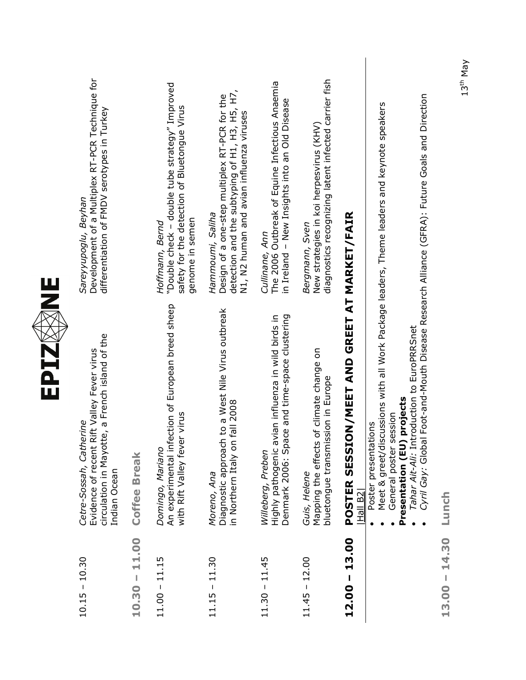| $\frac{11}{2}$ | Development of a Multiplex RT-PCR Technique for<br>differentiation of FMDV serotypes in Turkey<br>Sareyyupoglu, Beyhan                  |                | "Double check - double tube strategy" Improved<br>safety for the detection of Bluetongue Virus<br>genome in semen<br>Hoffmann, Bernd | detection and the subtyping of H1, H3, H5, H7,<br>Design of a one-step multiplex RT-PCR for the<br>N1, N2 human and avian influenza viruses<br>Hammoumi, Saliha | The 2006 Outbreak of Equine Infectious Anaemia<br>in Ireland - New Insights into an Old Disease<br>Cullinane, Ann        | diagnostics recognizing latent infected carrier fish<br>New strategies in koi herpesvirus (KHV)<br>Bergmann, Sven |                                                                                                                                                                                                                 | Foot-and-Mouth Disease Research Alliance (GFRA): Future Goals and Direction                   |                    |
|----------------|-----------------------------------------------------------------------------------------------------------------------------------------|----------------|--------------------------------------------------------------------------------------------------------------------------------------|-----------------------------------------------------------------------------------------------------------------------------------------------------------------|--------------------------------------------------------------------------------------------------------------------------|-------------------------------------------------------------------------------------------------------------------|-----------------------------------------------------------------------------------------------------------------------------------------------------------------------------------------------------------------|-----------------------------------------------------------------------------------------------|--------------------|
| EPIZ           | circulation in Mayotte, a French island of the<br>Evidence of recent Rift Valley Fever virus<br>Cetre-Sossah, Catherine<br>Indian Ocean | Coffee Break   | ction of European breed sheep<br>with Rift Valley fever virus<br>An experimental infe<br>Domingo, Mariano                            | to a West Nile Virus outbreak<br>fall 2008<br>Diagnostic approach<br>in Northern Italy on<br>Moreno, Ana                                                        | Denmark 2006: Space and time-space clustering<br>Highly pathogenic avian influenza in wild birds in<br>Willeberg, Preben | of climate change on<br>bluetongue transmission in Europe<br>Mapping the effects<br>Guis, Helene                  | Meet & greet/discussions with all Work Package leaders, Theme leaders and keynote speakers<br><b>POSTER SESSION/MEET AND GREET AT MARKET/FAIR</b><br>General poster session<br>Poster presentations<br> Hall B2 | Tahar Ait-Ali: Introduction to EuroPRRSnet<br>Presentation (EU) projects<br>Cyril Gay: Global | Lunch              |
|                | $10.15 - 10.30$                                                                                                                         | 11.00<br>10.30 | $11.00 - 11.15$                                                                                                                      | $11.15 - 11.30$                                                                                                                                                 | $11.30 - 11.45$                                                                                                          | $11.45 - 12.00$                                                                                                   | $12.00 - 13.00$                                                                                                                                                                                                 |                                                                                               | 14.30<br>$13.00 -$ |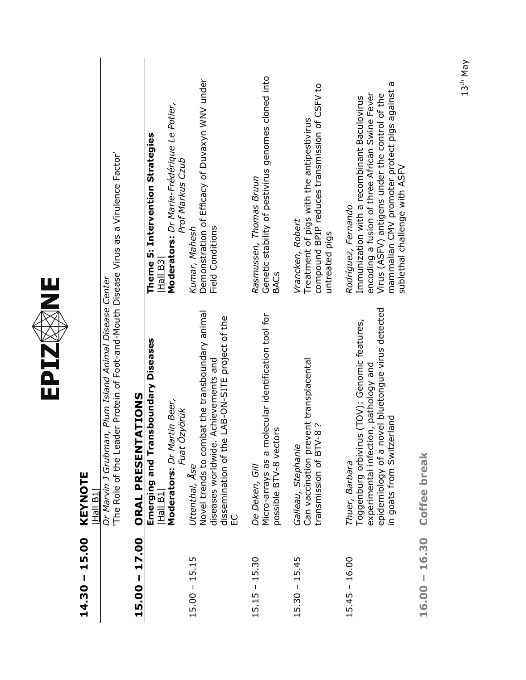| $14.30 - 15.00$ | KEYNOTE<br>Hall B1                                                                                                                                                                                |                                                                                                                                                                                                                                                             |
|-----------------|---------------------------------------------------------------------------------------------------------------------------------------------------------------------------------------------------|-------------------------------------------------------------------------------------------------------------------------------------------------------------------------------------------------------------------------------------------------------------|
|                 | The Role of the Leader Protein of Foot-and-Mouth Disease Virus as a Virulence Factor'<br>Plum Island Animal Disease Center<br>Dr Marvin J Grubman,                                                |                                                                                                                                                                                                                                                             |
| $15.00 - 17.00$ | ORAL PRESENTATIONS                                                                                                                                                                                |                                                                                                                                                                                                                                                             |
|                 | Emerging and Transboundary Diseases<br>$\frac{1}{2}$<br> Hall                                                                                                                                     | Theme 5: Intervention Strategies<br>Hall B <sub>3</sub>                                                                                                                                                                                                     |
|                 | Moderators: Dr Martin Beer,<br>Fuat Ozyörük                                                                                                                                                       | Moderators: Dr Marie-Frédérique Le Potier,<br>Prof Markus Czub                                                                                                                                                                                              |
| $15.00 - 15.15$ | Novel trends to combat the transboundary animal<br>AB-ON-SITE project of the<br>diseases worldwide. Achievements and<br>dissemination of the L<br>Uttenthal, Ase<br>EC                            | Demonstration of Efficacy of Duvaxyn WNV under<br>Field Conditions<br>Kumar, Mahesh                                                                                                                                                                         |
| $15.15 - 15.30$ | ecular identification tool for<br>possible BTV-8 vectors<br>Micro-arrays as a mol<br>De Deken, Gill                                                                                               | Genetic stability of pestivirus genomes cloned into<br>Rasmussen, Thomas Bruun<br><b>BACs</b>                                                                                                                                                               |
| $15.30 - 15.45$ | Can vaccination prevent transplacental<br>$\tilde{c}$<br>transmission of BTV-8<br>Galleau, Stephanie                                                                                              | compound BPIP reduces transmission of CSFV to<br>Treatment of pigs with the antipestivirus<br>Vrancken, Robert<br>untreated pigs                                                                                                                            |
| $15.45 - 16.00$ | el bluetongue virus detected<br>(TOV): Genomic features,<br>experimental infection, pathology and<br>in goats from Switzerland<br>epidemiology of a nov<br>Toggenburg orbivirus<br>Thuer, Barbara | G<br>mammalian CMV promoter protect pigs against<br>encoding a fusion of three African Swine Fever<br>Virus (ASFV) antigens under the control of the<br>Immunization with a recombinant Baculovirus<br>sublethal challenge with ASFV<br>Rodríguez, Fernando |
| $16.00 - 16.30$ | <b>Coffee break</b>                                                                                                                                                                               |                                                                                                                                                                                                                                                             |

**EPIZ ME**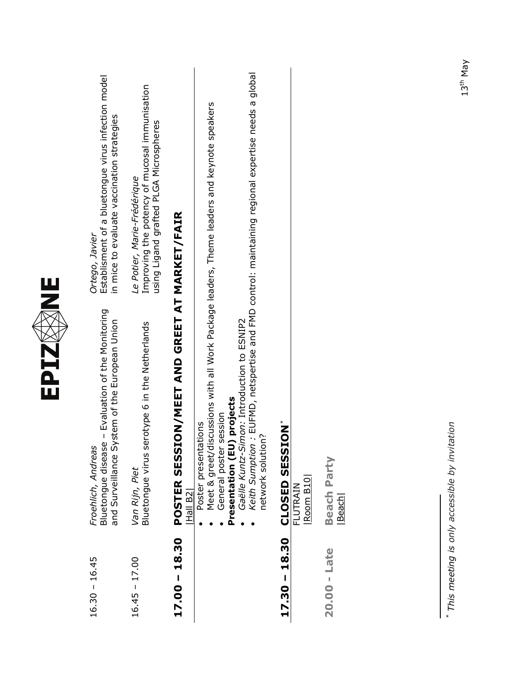<span id="page-4-0"></span>

|                  | EPIZ                                                                                                                                                                                                                                          | Ш<br>Z                                                                                                                 |
|------------------|-----------------------------------------------------------------------------------------------------------------------------------------------------------------------------------------------------------------------------------------------|------------------------------------------------------------------------------------------------------------------------|
| $16.30 - 16.45$  | Bluetongue disease - Evaluation of the Monitoring<br>and Surveillance System of the European Union<br>Froehlich, Andreas                                                                                                                      | Establisment of a bluetongue virus infection model<br>in mice to evaluate vaccination strategies<br>Ortego, Javier     |
| $16.45 - 17.00$  | Bluetongue virus serotype 6 in the Netherlands<br>Van Rijn, Piet                                                                                                                                                                              | Improving the potency of mucosal immunisation<br>using Ligand grafted PLGA Microspheres<br>Le Potier, Marie-Frédérique |
| $17.00 - 18.30$  | <b>POSTER SESSION/MEET AND GREET AT MARKET/FAIR</b><br>Hall B2                                                                                                                                                                                |                                                                                                                        |
|                  | Meet & greet/discussions with all Work Package leaders, Theme leaders and keynote speakers<br>Gaëlle Kuntz-Simon: Introduction to ESNIP2<br>Presentation (EU) projects<br>General poster session<br>Poster presentations<br>network solution? | Keith Sumption: EUFMD, netspertise and FMD control: maintaining regional expertise needs a global                      |
| 18.30<br>17.30 - | <b>SESSION</b> *<br>Room B10<br>CLOSED<br>FLUTRAIN                                                                                                                                                                                            |                                                                                                                        |
| $20.00 -$ Late   | <b>Beach Party</b><br>Beach                                                                                                                                                                                                                   |                                                                                                                        |
|                  | * This meeting is only accessible by invitation                                                                                                                                                                                               |                                                                                                                        |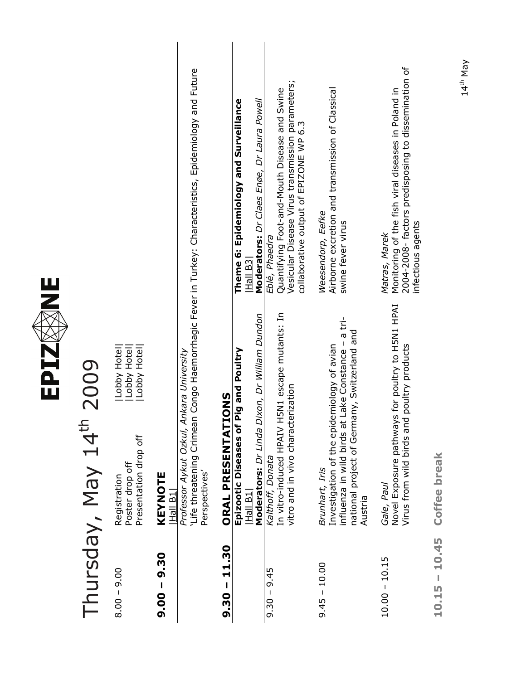

# Thursday, May 14th 2009 Thursday, May 14<sup>th</sup> 2009

| Jobby Hotel<br>$\bar{c}$ | Lobby Hotel    | <b>Jy Hotel</b><br>ع<br>م<br>נ<br>נ<br>J<br>ı |
|--------------------------|----------------|-----------------------------------------------|
| Registration             | oster drop off | resentation drop off                          |
| $8.00 - 9.00$            |                |                                               |

### **9.00 – 9.30 KEYNOTE**   $9.00 - 9.30$

**KEYNOTE**<br><u>|Hall B1|</u><br>*Professor Aykut Ozkul, Ankara University*<br>`Life threatening Crimean Congo Haemorrhagic Fever in Turkey: Characteristics, Epidemiology and Future 'Life threatening Crimean Congo Haemorrhagic Fever in Turkey: Characteristics, Epidemiology and Future *Professor Aykut Ozkul, Ankara University*  Perspectives' Perspectives'

#### **9.30 – 11.30 ORAL PRESENTATIONS**  í  $\overline{\mathbf{a}}$  $\epsilon$  $\mathbf{C}$ Ĭ.  $\overline{\mathbf{C}}$  $\mathbf{C}$

| $9.30 - 11.30$  | ORAL PRESENTATIONS                                 |                                                     |
|-----------------|----------------------------------------------------|-----------------------------------------------------|
|                 | Pig and Poultry<br>Epizootic Diseases of           | Theme 6: Epidemiology and Surveillance              |
|                 | Hall B1                                            | $Hall$ B3 $ $                                       |
|                 | Dixon, Dr William Dundon<br>Moderators: Dr Linda   | Moderators: Dr Claes Enøe, Dr Laura Powell          |
| $9.30 - 9.45$   | Kalthoff, Donata                                   | Eblé, Phaedra                                       |
|                 | H5N1 escape mutants: In<br>In vitro-induced HPAIV  | Quantifying Foot-and-Mouth Disease and Swine        |
|                 | vitro and in vivo characterization                 | Vesicular Disease Virus transmission parameters;    |
|                 |                                                    | collaborative output of EPIZONE WP 6.3              |
| $9.45 - 10.00$  | Brunhart, Iris                                     | Weesendorp, Eefke                                   |
|                 | Investigation of the epidemiology of avian         | Airborne excretion and transmission of Classical    |
|                 | influenza in wild birds at Lake Constance - a tri- | swine fever virus                                   |
|                 | national project of Germany, Switzerland and       |                                                     |
|                 | Austria                                            |                                                     |
|                 |                                                    |                                                     |
| $10.00 - 10.15$ | Gale, Paul                                         | Matras, Marek                                       |
|                 | Novel Exposure pathways for poultry to H5N1 HPAI   | Monitoring of the fish viral diseases in Poland in  |
|                 | Virus from wild birds and poultry products         | 2004-2008- factors predisposing to dissemination of |
|                 |                                                    | infectious agents                                   |
|                 |                                                    |                                                     |
| $10.15 - 10.45$ | <b>Coffee break</b>                                |                                                     |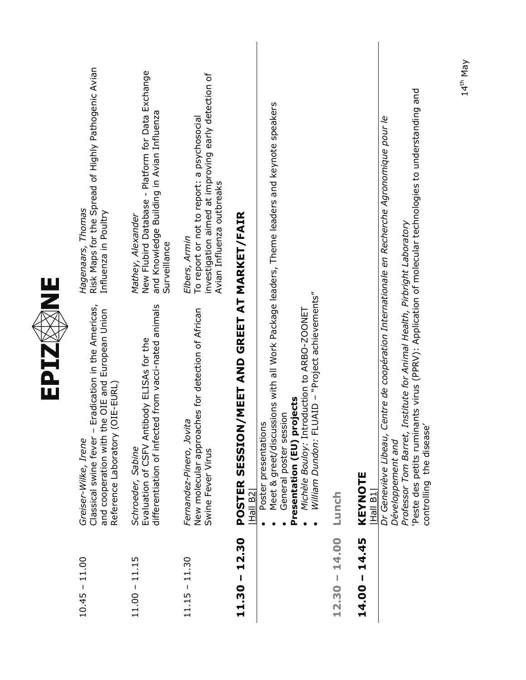| Ш<br>Z | Risk Maps for the Spread of Highly Pathogenic Avian<br>Hagenaars, Thomas<br>Influenza in Poultry                                                                       | New Flubird Database - Platform for Data Exchange<br>and Knowledge Building in Avian Influenza<br>Mathey, Alexander<br>Surveillance | investigation aimed at improving early detection of<br>To report or not to report: a psychosocial<br>Avian Influenza outbreaks<br>Elbers, Armin |                                                                    |                                                                                                                                                                                                                                                                                   |                 |                                                                                                                                                                                                                                                                                                                                                     |
|--------|------------------------------------------------------------------------------------------------------------------------------------------------------------------------|-------------------------------------------------------------------------------------------------------------------------------------|-------------------------------------------------------------------------------------------------------------------------------------------------|--------------------------------------------------------------------|-----------------------------------------------------------------------------------------------------------------------------------------------------------------------------------------------------------------------------------------------------------------------------------|-----------------|-----------------------------------------------------------------------------------------------------------------------------------------------------------------------------------------------------------------------------------------------------------------------------------------------------------------------------------------------------|
| EPIZ   | adication in the Americas,<br>and cooperation with the OIE and European Union<br>Reference Laboratory (OIE-EURL)<br>Classical swine fever - Er<br>Greiser-Wilke, Irene | from vacci-nated animals<br>Evaluation of CSFV Antibody ELISAs for the<br>differentiation of infected<br>Schroeder, Sabine          | New molecular approaches for detection of African<br>Fernandez-Pinero, Jovita<br>Swine Fever Virus                                              | <b>MEET AND GREET AT MARKET/FAIR</b><br>POSTER SESSION/<br>Hall B2 | Meet & greet/discussions with all Work Package leaders, Theme leaders and keynote speakers<br>William Dundon: FLUAID - "Project achievements"<br>Michèle Bouloy: Introduction to ARBO-ZOONET<br>jects<br>General poster session<br>Presentation (EU) proj<br>Poster presentations | Lunch           | Peste des petits ruminants virus (PPRV): Application of molecular technologies to understanding and<br>Dr Geneviève Libeau, Centre de coopération Internationale en Recherche Agronomique pour le<br>Professor Tom Barret, Institute for Animal Health, Pirbright Laboratory<br>controlling the disease'<br>Développement and<br>KEYNOTE<br>Hall B1 |
|        | $10.45 - 11.00$                                                                                                                                                        | $11.00 - 11.15$                                                                                                                     | $11.15 - 11.30$                                                                                                                                 | 12.30<br>$\mathbf{I}$<br>11.30                                     |                                                                                                                                                                                                                                                                                   | $12.30 - 14.00$ | $14.00 - 14.45$                                                                                                                                                                                                                                                                                                                                     |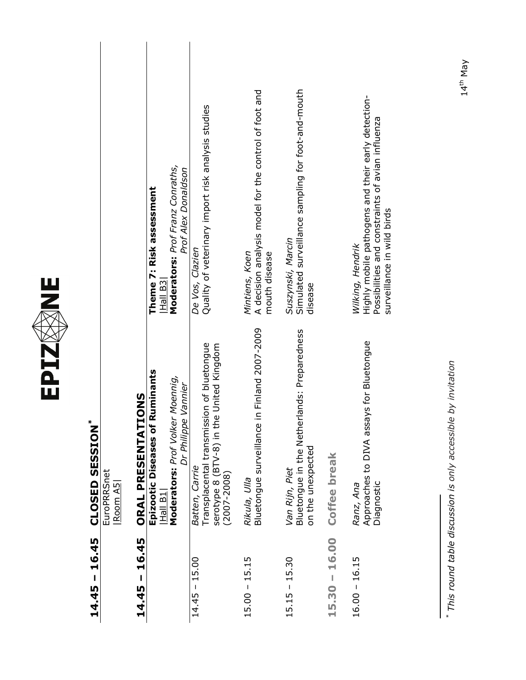<span id="page-7-0"></span>

| $14.45 - 16.45$    | <b>CLOSED SESSION*</b>                                                                                                     |                                                                                                                                                          |
|--------------------|----------------------------------------------------------------------------------------------------------------------------|----------------------------------------------------------------------------------------------------------------------------------------------------------|
|                    | EuroPRRSnet<br>$\overline{\text{Room AS}}$                                                                                 |                                                                                                                                                          |
| $14.45 - 16.45$    | ONS<br>ORAL PRESENTATI                                                                                                     |                                                                                                                                                          |
|                    | Epizootic Diseases of Ruminants<br>Moennig,<br>Vannier<br>Moderators: Prof Volker<br>Dr Philippe<br>Hall B1                | Moderators: Prof Franz Conraths,<br>Prof Alex Donaldson<br>Theme 7: Risk assessment<br>Hall B <sub>3</sub>                                               |
| $14.45 - 15.00$    | Transplacental transmission of bluetongue<br>serotype 8 (BTV-8) in the United Kingdom<br>Batten, Carrie<br>$(2007 - 2008)$ | Quality of veterinary import risk analysis studies<br>De Vos, Clazien                                                                                    |
| $15.00 - 15.15$    | Bluetongue surveillance in Finland 2007-2009<br>Rikula, Ulla                                                               | A decision analysis model for the control of foot and<br>mouth disease<br>Mintiens, Koen                                                                 |
| $15.15 - 15.30$    | Bluetongue in the Netherlands: Preparedness<br>on the unexpected<br>Van Rijn, Piet                                         | Simulated surveillance sampling for foot-and-mouth<br>Suszynski, Marcin<br>disease                                                                       |
| 16.00<br>$15.30 -$ | Coffee break                                                                                                               |                                                                                                                                                          |
| $16.00 - 16.15$    | Approaches to DIVA assays for Bluetongue<br>Diagnostic<br>Ranz, Ana                                                        | Highly mobile pathogens and their early detection-<br>Possibilities and constraints of avian influenza<br>surveillance in wild birds<br>Wilking, Hendrik |
|                    | by invitation<br>* This round table discussion is only accessible                                                          |                                                                                                                                                          |

EPIZØNE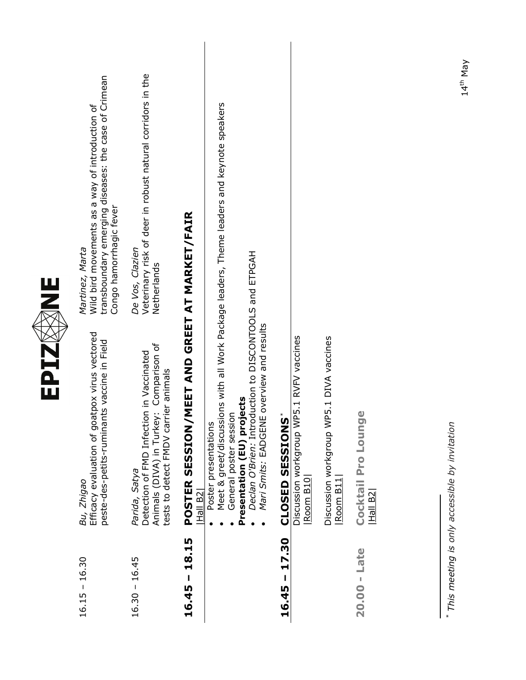<span id="page-8-0"></span>

|                 | EPIZ                                                                                                                                                                               | NNE                                                                                                                                                   |
|-----------------|------------------------------------------------------------------------------------------------------------------------------------------------------------------------------------|-------------------------------------------------------------------------------------------------------------------------------------------------------|
| $16.15 - 16.30$ | Efficacy evaluation of goatpox virus vectored<br>peste-des-petits-ruminants vaccine in Field<br>Bu, Zhigao                                                                         | transboundary emerging diseases: the case of Crimean<br>Martinez, Marta<br>Wild bird movements as a way of introduction of<br>Congo hamorrhagic fever |
| $16.30 - 16.45$ | Animals (DIVA) in Turkey: Comparison of<br>Detection of FMD Infection in Vaccinated<br>tests to detect FMDV carrier animals<br>Parida, Satya                                       | Veterinary risk of deer in robust natural corridors in the<br>De Vos, Clazien<br>Netherlands                                                          |
| 18.15<br>16.45  | POSTER SESSION<br><u> Hall B2 </u>                                                                                                                                                 | /MEET AND GREET AT MARKET/FAIR                                                                                                                        |
|                 | Declan O'Brien: Introduction to DISCONTOOLS and ETPGAH<br>Mari Smits: EADGENE overview and results<br>Presentation (EU) projects<br>General poster session<br>Poster presentations | Meet & greet/discussions with all Work Package leaders, Theme leaders and keynote speakers                                                            |
| 17.30<br>16.45  | $\mathbf{\underline{\mathbf{\hat{y}}}}$<br><b>CLOSED SESSION</b>                                                                                                                   |                                                                                                                                                       |
|                 | Discussion workgroup WP5.1 RVFV vaccines<br>$\overline{\text{Room B10}}$                                                                                                           |                                                                                                                                                       |
|                 | Discussion workgroup WP5.1 DIVA vaccines<br>Room B11                                                                                                                               |                                                                                                                                                       |
| $20.00 -$ Late  | Cocktail Pro Lounge<br> Hall B2                                                                                                                                                    |                                                                                                                                                       |
|                 |                                                                                                                                                                                    |                                                                                                                                                       |
|                 | * This meeting is only accessible by invitation                                                                                                                                    | 14th May                                                                                                                                              |